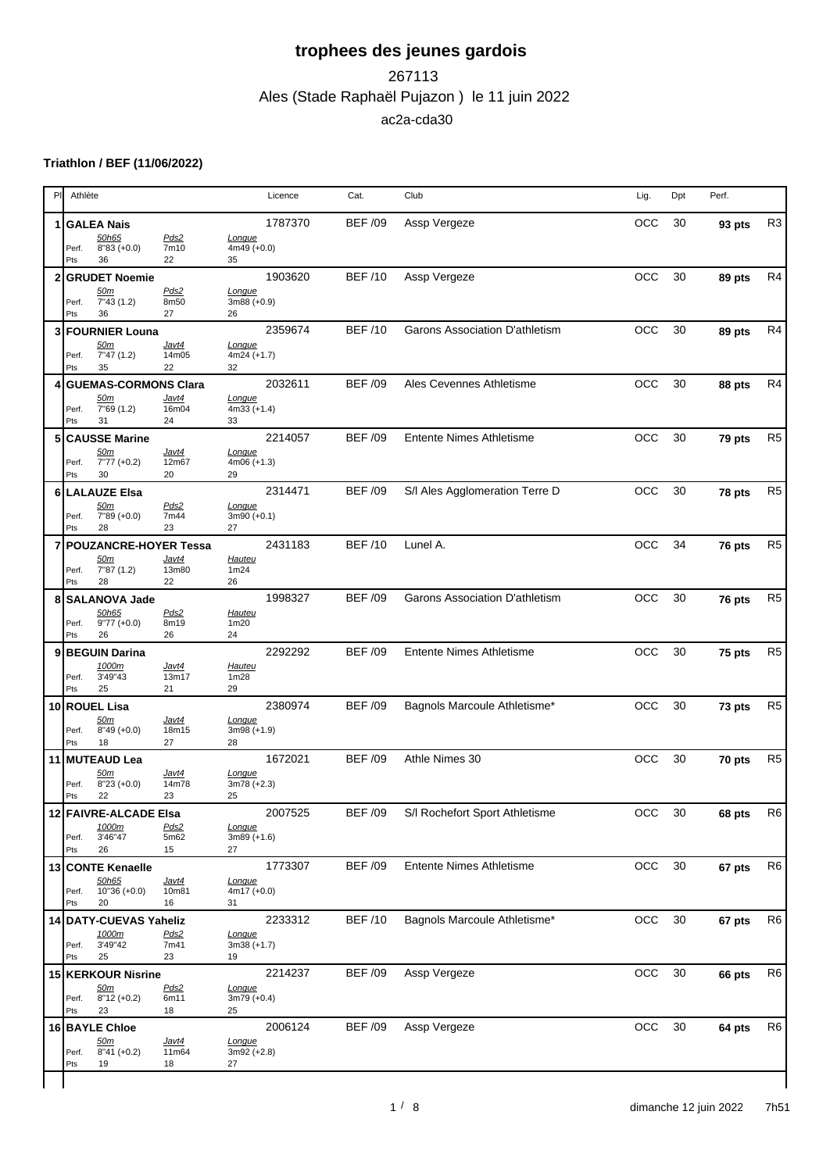### Ales (Stade Raphaël Pujazon ) le 11 juin 2022 267113 ac2a-cda30

### **Triathlon / BEF (11/06/2022)**

|                | PI.<br>Athlète                                                                                        | Licence                                         | Cat.           | Club                                   | Lig.       | Dpt | Perf.  |                |
|----------------|-------------------------------------------------------------------------------------------------------|-------------------------------------------------|----------------|----------------------------------------|------------|-----|--------|----------------|
| 1              | <b>GALEA Nais</b>                                                                                     | 1787370                                         | <b>BEF /09</b> | Assp Vergeze                           | OCC        | 30  | 93 pts | R <sub>3</sub> |
|                | 50h65<br>Pds2<br>$8''83 (+0.0)$<br>7m10<br>Perf.<br>Pts<br>36<br>22                                   | Longue<br>$4m49 (+0.0)$<br>35                   |                |                                        |            |     |        |                |
|                | $\mathbf{2}$<br><b>GRUDET Noemie</b>                                                                  | 1903620                                         | <b>BEF/10</b>  | Assp Vergeze                           | <b>OCC</b> | 30  | 89 pts | R <sub>4</sub> |
|                | Pds2<br><u>50m</u><br>7"43(1.2)<br>8m50<br>Perf.<br>Pts<br>36<br>27                                   | Longue<br>$3m88 (+0.9)$<br>26                   |                |                                        |            |     |        |                |
| 3              | <b>FOURNIER Louna</b><br><u>50m</u><br><u>Javt4</u><br>7"47(1.2)<br>14m05<br>Perf.                    | 2359674<br>Longue<br>$4m24 (+1.7)$              | <b>BEF/10</b>  | Garons Association D'athletism         | <b>OCC</b> | 30  | 89 pts | R <sub>4</sub> |
|                | Pts<br>35<br>22                                                                                       | 32                                              |                |                                        |            |     |        |                |
|                | <b>GUEMAS-CORMONS Clara</b><br>Javt4<br><u>50m</u><br>7"69 (1.2)<br>16m04<br>Perf.<br>Pts<br>31<br>24 | 2032611<br>Longue<br>$4m33 (+1.4)$<br>33        | <b>BEF/09</b>  | Ales Cevennes Athletisme               | <b>OCC</b> | 30  | 88 pts | R <sub>4</sub> |
|                | <b>CAUSSE Marine</b><br>5<br>Javt4<br><u>50m</u><br>7"77 (+0.2)<br>12m67<br>Perf.<br>Pts<br>30<br>20  | 2214057<br>Longue<br>$4m06 (+1.3)$<br>29        | <b>BEF /09</b> | <b>Entente Nimes Athletisme</b>        | <b>OCC</b> | 30  | 79 pts | R <sub>5</sub> |
|                | 6 LALAUZE Elsa<br>Pds2<br><u>50m</u><br>7"89 (+0.0)<br>7m44<br>Perf.                                  | 2314471<br>Longue<br>$3m90 (+0.1)$              | <b>BEF /09</b> | S/I Ales Agglomeration Terre D         | <b>OCC</b> | 30  | 78 pts | R <sub>5</sub> |
|                | Pts<br>28<br>23                                                                                       | 27<br>2431183                                   | <b>BEF/10</b>  | Lunel A.                               | <b>OCC</b> | 34  |        | R <sub>5</sub> |
| $\overline{7}$ | <b>POUZANCRE-HOYER Tessa</b><br>Javt4<br><u>50m</u><br>7"87(1.2)<br>13m80<br>Perf.<br>Pts<br>28<br>22 | Hauteu<br>1m24<br>26                            |                |                                        |            |     | 76 pts |                |
|                | <b>SALANOVA Jade</b><br>8                                                                             | 1998327                                         | <b>BEF /09</b> | Garons Association D'athletism         | <b>OCC</b> | 30  | 76 pts | R <sub>5</sub> |
|                | 50h65<br>Pds2<br>$9'77 (+0.0)$<br>8m19<br>Perf.<br>26<br>26<br>Pts                                    | <b>Hauteu</b><br>1m20<br>24                     |                |                                        |            |     |        |                |
|                | 9 BEGUIN Darina<br>1000m<br><u>Javt4</u><br>3'49"43<br>13m17<br>Perf.<br>Pts<br>25<br>21              | 2292292<br><b>Hauteu</b><br>1m28<br>29          | <b>BEF /09</b> | <b>Entente Nimes Athletisme</b>        | <b>OCC</b> | 30  | 75 pts | R <sub>5</sub> |
|                | 10 ROUEL Lisa<br>50m<br><u>Javt4</u><br>$8''49 (+0.0)$<br>18m15<br>Perf.<br>Pts<br>18<br>27           | 2380974<br>Longue<br>$3m98 (+1.9)$<br>28        | <b>BEF /09</b> | Bagnols Marcoule Athletisme*           | <b>OCC</b> | 30  | 73 pts | R <sub>5</sub> |
|                | 11 MUTEAUD Lea<br><u>50m</u><br><u>Javt4</u><br>$8''23 (+0.0)$<br>Perf.<br>14m78<br>Pts<br>22<br>23   | 1672021<br>Longue<br>$3m78 (+2.3)$<br>25        | <b>BEF /09</b> | Athle Nimes 30                         | <b>OCC</b> | 30  | 70 pts | R <sub>5</sub> |
|                | 12 FAIVRE-ALCADE Elsa<br>1000m<br>Pds2<br>3'46"47<br>Perf.<br>5m62<br>26<br>Pts<br>15                 | 2007525<br><u>Longue</u><br>$3m89 (+1.6)$<br>27 |                | BEF /09 S/I Rochefort Sport Athletisme | OCC 30     |     | 68 pts | R <sub>6</sub> |
|                | 13 CONTE Kenaelle                                                                                     | 1773307                                         | <b>BEF/09</b>  | <b>Entente Nimes Athletisme</b>        | OCC 30     |     | 67 pts | R <sub>6</sub> |
|                | 50h65<br>Javt4<br>Perf. 10"36 (+0.0)<br>10m81<br>Pts<br>20<br>16                                      | Longue<br>4m17 (+0.0)<br>31                     |                |                                        |            |     |        |                |
|                | 14 DATY-CUEVAS Yaheliz<br>Pds2<br><u>1000m</u><br>3'49"42<br>Perf.<br>7m41<br>25<br>Pts<br>23         | 2233312<br>Longue<br>$3m38 (+1.7)$<br>19        | <b>BEF/10</b>  | Bagnols Marcoule Athletisme*           | OCC        | 30  | 67 pts | R <sub>6</sub> |
|                | 15 KERKOUR Nisrine<br>Pds2<br><u>50m</u><br>$8"12 (+0.2)$<br>Perf.<br>6m11<br>Pts<br>23<br>18         | 2214237<br>Longue<br>$3m79 (+0.4)$<br>25        | <b>BEF /09</b> | Assp Vergeze                           | OCC        | 30  | 66 pts | R <sub>6</sub> |
|                | 16 BAYLE Chloe<br>50m<br><u>Javt4</u><br>Perf. 8"41 (+0.2)<br>11m64<br>Pts<br>19<br>18                | 2006124<br>Longue<br>$3m92 (+2.8)$<br>27        | <b>BEF /09</b> | Assp Vergeze                           | OCC 30     |     | 64 pts | R <sub>6</sub> |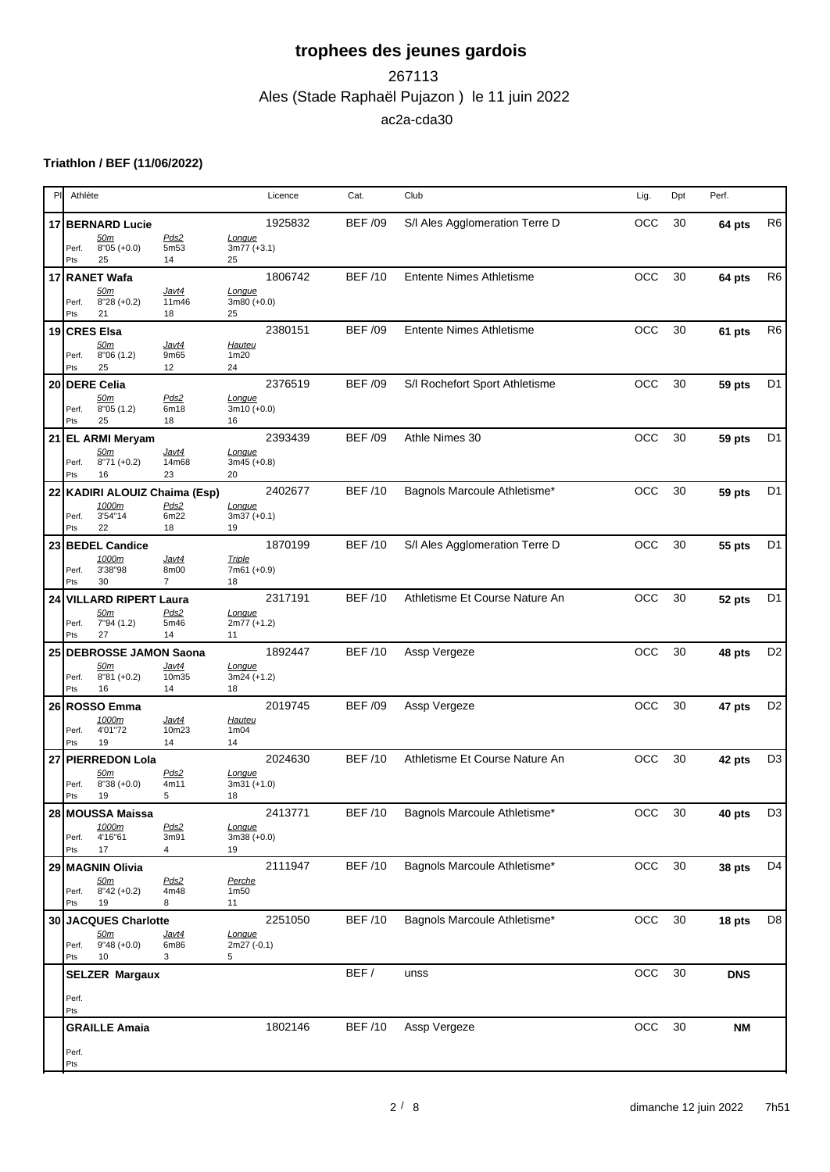### Ales (Stade Raphaël Pujazon ) le 11 juin 2022 267113 ac2a-cda30

#### **Triathlon / BEF (11/06/2022)**

| PI | Athlète                                                                         | Licence                            | Cat.           | Club                            | Lig.       | Dpt | Perf.       |                |
|----|---------------------------------------------------------------------------------|------------------------------------|----------------|---------------------------------|------------|-----|-------------|----------------|
|    | 17 BERNARD Lucie                                                                | 1925832                            | <b>BEF /09</b> | S/I Ales Agglomeration Terre D  | OCC        | 30  | 64 pts      | R <sub>6</sub> |
|    | Pds2<br><u>50m</u><br>$8'05 (+0.0)$<br>5m53<br>Perf.<br>25<br>Pts<br>14         | Longue<br>$3m77 (+3.1)$<br>25      |                |                                 |            |     |             |                |
|    | 17 RANET Wafa                                                                   | 1806742                            | <b>BEF/10</b>  | <b>Entente Nimes Athletisme</b> | OCC        | 30  | 64 pts      | R <sub>6</sub> |
|    | 50m<br>Javt4<br>$8''28 (+0.2)$<br>11m46<br>Perf.<br>Pts<br>21<br>18             | Longue<br>$3m80 (+0.0)$<br>25      |                |                                 |            |     |             |                |
|    | 19 CRES Elsa                                                                    | 2380151                            | <b>BEF /09</b> | <b>Entente Nimes Athletisme</b> | OCC        | 30  | 61 pts      | R <sub>6</sub> |
|    | <u>50m</u><br>Javt4<br>8'06(1.2)<br>9m65<br>Perf.<br>25<br>12<br>Pts            | Hauteu<br>1 <sub>m20</sub><br>24   |                |                                 |            |     |             |                |
|    | 20 DERE Celia<br>50m<br>Pds2                                                    | 2376519<br>Longue                  | <b>BEF /09</b> | S/I Rochefort Sport Athletisme  | OCC        | 30  | 59 pts      | D <sub>1</sub> |
|    | 6m18<br>8"05(1.2)<br>Perf.<br>Pts<br>25<br>18                                   | 3m10 (+0.0)<br>16                  |                |                                 |            |     |             |                |
|    | 21 EL ARMI Meryam                                                               | 2393439                            | <b>BEF /09</b> | Athle Nimes 30                  | OCC        | 30  | 59 pts      | D <sub>1</sub> |
|    | Javt4<br><u>50m</u><br>$8"71 (+0.2)$<br>14m68<br>Perf.<br>16<br>23<br>Pts       | Longue<br>$3m45 (+0.8)$<br>20      |                |                                 |            |     |             |                |
|    | 22 KADIRI ALOUIZ Chaima (Esp)<br>1000m<br>Pds2                                  | 2402677<br>Longue                  | <b>BEF/10</b>  | Bagnols Marcoule Athletisme*    | OCC        | 30  | 59 pts      | D <sub>1</sub> |
|    | 6m22<br>3'54"14<br>Perf.<br>22<br>18<br>Pts                                     | $3m37 (+0.1)$<br>19                |                |                                 |            |     |             |                |
|    | 23 BEDEL Candice                                                                | 1870199                            | <b>BEF /10</b> | S/I Ales Agglomeration Terre D  | OCC        | 30  | 55 pts      | D <sub>1</sub> |
|    | 1000m<br>Javt4<br>3'38"98<br>8m00<br>Perf.<br>Pts<br>30<br>$\overline{7}$       | <b>Triple</b><br>7m61 (+0.9)<br>18 |                |                                 |            |     |             |                |
|    | 24 VILLARD RIPERT Laura                                                         | 2317191                            | <b>BEF/10</b>  | Athletisme Et Course Nature An  | OCC        | 30  | 52 pts      | D <sub>1</sub> |
|    | Pds2<br>50 <sub>m</sub><br>7"94 (1.2)<br>5m46<br>Perf.<br>27<br>14<br>Pts       | Longue<br>2m77 (+1.2)<br>11        |                |                                 |            |     |             |                |
|    | 25 DEBROSSE JAMON Saona                                                         | 1892447                            | <b>BEF /10</b> | Assp Vergeze                    | OCC        | 30  | 48 pts      | D <sub>2</sub> |
|    | Javt4<br><u>50m</u><br>$8''81 (+0.2)$<br>10m35<br>Perf.<br>Pts<br>16<br>14      | Longue<br>$3m24 (+1.2)$<br>18      |                |                                 |            |     |             |                |
|    | 26 ROSSO Emma                                                                   | 2019745                            | <b>BEF /09</b> | Assp Vergeze                    | OCC        | 30  | 47 pts      | D <sub>2</sub> |
|    | 1000m<br>Javt4<br>4'01"72<br>10m23<br>Perf.<br>Pts<br>19<br>14                  | <b>Hauteu</b><br>1m04<br>14        |                |                                 |            |     |             |                |
|    | 27 PIERREDON Lola                                                               | 2024630                            | <b>BEF/10</b>  | Athletisme Et Course Nature An  | <b>OCC</b> | 30  | 42 pts      | D <sub>3</sub> |
|    | 50m<br>Pds2<br>$8''38 (+0.0)$<br>4m11<br>Perf.<br>5<br>19<br>Pts                | Longue<br>$3m31 (+1.0)$<br>18      |                |                                 |            |     |             |                |
|    | 28 MOUSSA Maissa                                                                | 2413771                            | <b>BEF/10</b>  | Bagnols Marcoule Athletisme*    | OCC 30     |     | 40 pts $D3$ |                |
|    | 1000m<br>Pds2<br>4'16"61<br>3m91<br>Perf.<br>17<br>4<br>Pts                     | Longue<br>$3m38 (+0.0)$<br>19      |                |                                 |            |     |             |                |
|    | 29 MAGNIN Olivia                                                                | 2111947                            | <b>BEF /10</b> | Bagnols Marcoule Athletisme*    | OCC 30     |     | 38 pts      | D <sub>4</sub> |
|    | Pds2<br><u>50m</u><br>$8''42 (+0.2)$<br>4m48<br>Perf.<br>Pts<br>19<br>8         | Perche<br>1 <sub>m50</sub><br>11   |                |                                 |            |     |             |                |
|    | 30 JACQUES Charlotte                                                            | 2251050                            | <b>BEF /10</b> | Bagnols Marcoule Athletisme*    | OCC 30     |     | 18 pts      | D <sub>8</sub> |
|    | <u>50m</u><br><u>Javt4</u><br>$9''48 (+0.0)$<br>6m86<br>Perf.<br>3<br>Pts<br>10 | Longue<br>2m27 (-0.1)<br>5         |                |                                 |            |     |             |                |
|    | <b>SELZER Margaux</b>                                                           |                                    | BEF/           | unss                            | OCC 30     |     | <b>DNS</b>  |                |
|    | Perf.<br>Pts                                                                    |                                    |                |                                 |            |     |             |                |
|    | <b>GRAILLE Amaia</b>                                                            | 1802146                            | <b>BEF /10</b> | Assp Vergeze                    | OCC        | 30  | <b>NM</b>   |                |
|    | Perf.<br>Pts                                                                    |                                    |                |                                 |            |     |             |                |
|    |                                                                                 |                                    |                |                                 |            |     |             |                |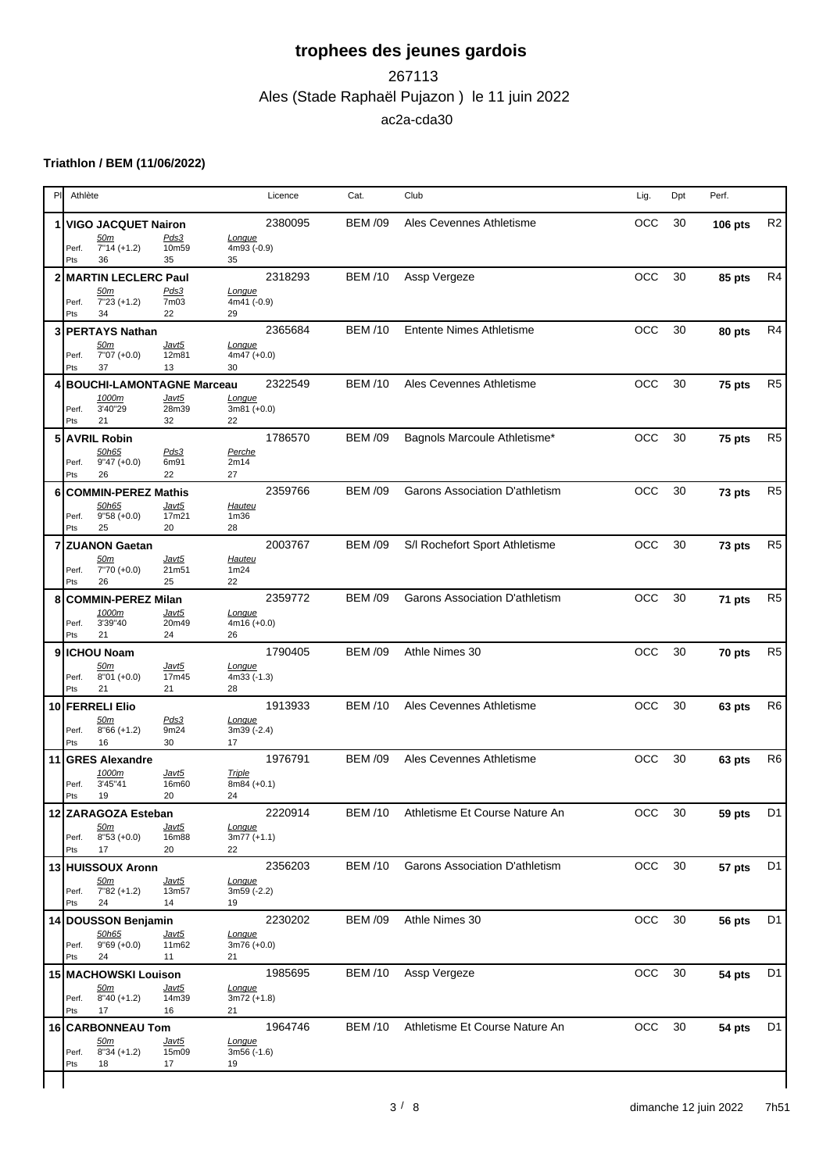## Ales (Stade Raphaël Pujazon ) le 11 juin 2022 267113 ac2a-cda30

#### **Triathlon / BEM (11/06/2022)**

|   |              |                                                      |                             |                                         |         |                |                                        | Lig.       |    |                |                |
|---|--------------|------------------------------------------------------|-----------------------------|-----------------------------------------|---------|----------------|----------------------------------------|------------|----|----------------|----------------|
|   |              | 1 VIGO JACQUET Nairon<br><u>50m</u>                  | Pds3                        | Longue                                  | 2380095 | <b>BEM /09</b> | Ales Cevennes Athletisme               | OCC        | 30 | <b>106 pts</b> | R <sub>2</sub> |
|   | Perf.<br>Pts | $7"14 (+1.2)$<br>36                                  | 10m59<br>35                 | 4m93 (-0.9)<br>35                       |         |                |                                        |            |    |                |                |
|   |              | 2 MARTIN LECLERC Paul                                |                             |                                         | 2318293 | <b>BEM /10</b> | Assp Vergeze                           | OCC        | 30 | 85 pts         | R <sub>4</sub> |
|   | Perf.<br>Pts | <u>50m</u><br>$7"23 (+1.2)$<br>34                    | Pds3<br>7m03<br>22          | Longue<br>4m41 (-0.9)<br>29             |         |                |                                        |            |    |                |                |
| 3 |              | <b>PERTAYS Nathan</b>                                |                             |                                         | 2365684 | <b>BEM /10</b> | <b>Entente Nimes Athletisme</b>        | <b>OCC</b> | 30 | 80 pts         | R <sub>4</sub> |
|   | Perf.<br>Pts | <u>50m</u><br>$7"07 (+0.0)$<br>37                    | <u>Javt5</u><br>12m81<br>13 | Longue<br>$4m47 (+0.0)$<br>30           |         |                |                                        |            |    |                |                |
|   |              | <b>BOUCHI-LAMONTAGNE Marceau</b>                     |                             |                                         | 2322549 | <b>BEM /10</b> | Ales Cevennes Athletisme               | <b>OCC</b> | 30 | 75 pts         | R <sub>5</sub> |
|   | Perf.<br>Pts | 1000m<br>3'40"29<br>21                               | Javt5<br>28m39<br>32        | Longue<br>$3m81 (+0.0)$<br>22           |         |                |                                        |            |    |                |                |
| 5 |              | <b>AVRIL Robin</b>                                   |                             |                                         | 1786570 | <b>BEM /09</b> | Bagnols Marcoule Athletisme*           | <b>OCC</b> | 30 | 75 pts         | R <sub>5</sub> |
|   | Perf.<br>Pts | 50h65<br>$9''47 (+0.0)$<br>26                        | Pds3<br>6m91<br>22          | Perche<br>2m14<br>27                    |         |                |                                        |            |    |                |                |
| 6 |              | <b>COMMIN-PEREZ Mathis</b>                           |                             |                                         | 2359766 | <b>BEM /09</b> | Garons Association D'athletism         | <b>OCC</b> | 30 | 73 pts         | R <sub>5</sub> |
|   | Perf.<br>Pts | 50h65<br>$9"58 (+0.0)$<br>25                         | Javt5<br>17m21<br>20        | <b>Hauteu</b><br>1 <sub>m36</sub><br>28 |         |                |                                        |            |    |                |                |
| 7 |              | <b>ZUANON Gaetan</b>                                 |                             |                                         | 2003767 | <b>BEM /09</b> | S/I Rochefort Sport Athletisme         | <b>OCC</b> | 30 | 73 pts         | R <sub>5</sub> |
|   | Perf.<br>Pts | <u>50m</u><br>$7"70 (+0.0)$<br>26                    | <u>Javt5</u><br>21m51<br>25 | <b>Hauteu</b><br>1m24<br>22             |         |                |                                        |            |    |                |                |
| 8 |              | <b>COMMIN-PEREZ Milan</b>                            |                             |                                         | 2359772 | <b>BEM /09</b> | Garons Association D'athletism         | <b>OCC</b> | 30 | 71 pts         | R <sub>5</sub> |
|   | Perf.<br>Pts | 1000m<br>3'39"40<br>21                               | Javt5<br>20m49<br>24        | Longue<br>$4m16 (+0.0)$<br>26           |         |                |                                        |            |    |                |                |
|   |              | 9 ICHOU Noam                                         |                             |                                         | 1790405 | <b>BEM /09</b> | Athle Nimes 30                         | <b>OCC</b> | 30 | 70 pts         | R <sub>5</sub> |
|   | Perf.<br>Pts | 50m<br>$8'01 (+0.0)$<br>21                           | <u>Javt5</u><br>17m45<br>21 | Longue<br>$4m33(-1.3)$<br>28            |         |                |                                        |            |    |                |                |
|   |              | 10 FERRELI Elio                                      |                             |                                         | 1913933 | <b>BEM /10</b> | Ales Cevennes Athletisme               | <b>OCC</b> | 30 | 63 pts         | R <sub>6</sub> |
|   | Perf.<br>Pts | <u>50m</u><br>$8"66 (+1.2)$<br>16                    | Pds3<br>9m24<br>30          | Longue<br>3m39 (-2.4)<br>17             |         |                |                                        |            |    |                |                |
|   |              | 11 GRES Alexandre                                    |                             |                                         | 1976791 | <b>BEM /09</b> | Ales Cevennes Athletisme               | <b>OCC</b> | 30 | 63 pts         | R <sub>6</sub> |
|   | Perf.<br>Pts | 1000m<br>3'45"41<br>19                               | <u>Javt5</u><br>16m60<br>20 | <b>Triple</b><br>$8m84 (+0.1)$<br>24    |         |                |                                        |            |    |                |                |
|   |              | 12 ZARAGOZA Esteban                                  |                             |                                         | 2220914 |                | BEM /10 Athletisme Et Course Nature An | OCC 30     |    | 59 pts         | D <sub>1</sub> |
|   | Pts          | <u>50m</u><br>Perf. 8"53 (+0.0)<br>17                | <u>Javt5</u><br>16m88<br>20 | <u>Longue</u><br>$3m77 (+1.1)$<br>22    |         |                |                                        |            |    |                |                |
|   |              | 13 HUISSOUX Aronn                                    |                             |                                         | 2356203 | <b>BEM /10</b> | Garons Association D'athletism         | OCC        | 30 | 57 pts         | D <sub>1</sub> |
|   | Pts          | <u>50m</u><br>Perf. 7"82 (+1.2)<br>24                | Javt5<br>13m57<br>14        | Longue<br>$3m59(-2.2)$<br>19            |         |                |                                        |            |    |                |                |
|   |              | 14 DOUSSON Benjamin                                  |                             |                                         | 2230202 | <b>BEM /09</b> | Athle Nimes 30                         | OCC        | 30 | 56 pts         | D1             |
|   | Pts          | 50h65<br>Perf. 9"69 (+0.0)<br>24                     | <u>Javt5</u><br>11m62<br>11 | Longue<br>$3m76 (+0.0)$<br>21           |         |                |                                        |            |    |                |                |
|   |              | 15 MACHOWSKI Louison                                 |                             |                                         | 1985695 | <b>BEM /10</b> | Assp Vergeze                           | OCC 30     |    | 54 pts         | D <sub>1</sub> |
|   | Perf.<br>Pts | <u>50m</u><br>$8'40 (+1.2)$<br>17                    | Javt5<br>14m39<br>16        | Longue<br>$3m72 (+1.8)$<br>21           |         |                |                                        |            |    |                |                |
|   |              | 16 CARBONNEAU Tom<br><u>50m</u><br>Perf. 8"34 (+1.2) | Javt5<br>15m09              | Longue<br>$3m56(-1.6)$                  | 1964746 | <b>BEM/10</b>  | Athletisme Et Course Nature An         | OCC 30     |    | 54 pts         | D1             |
|   | Pts          | 18                                                   | 17                          | 19                                      |         |                |                                        |            |    |                |                |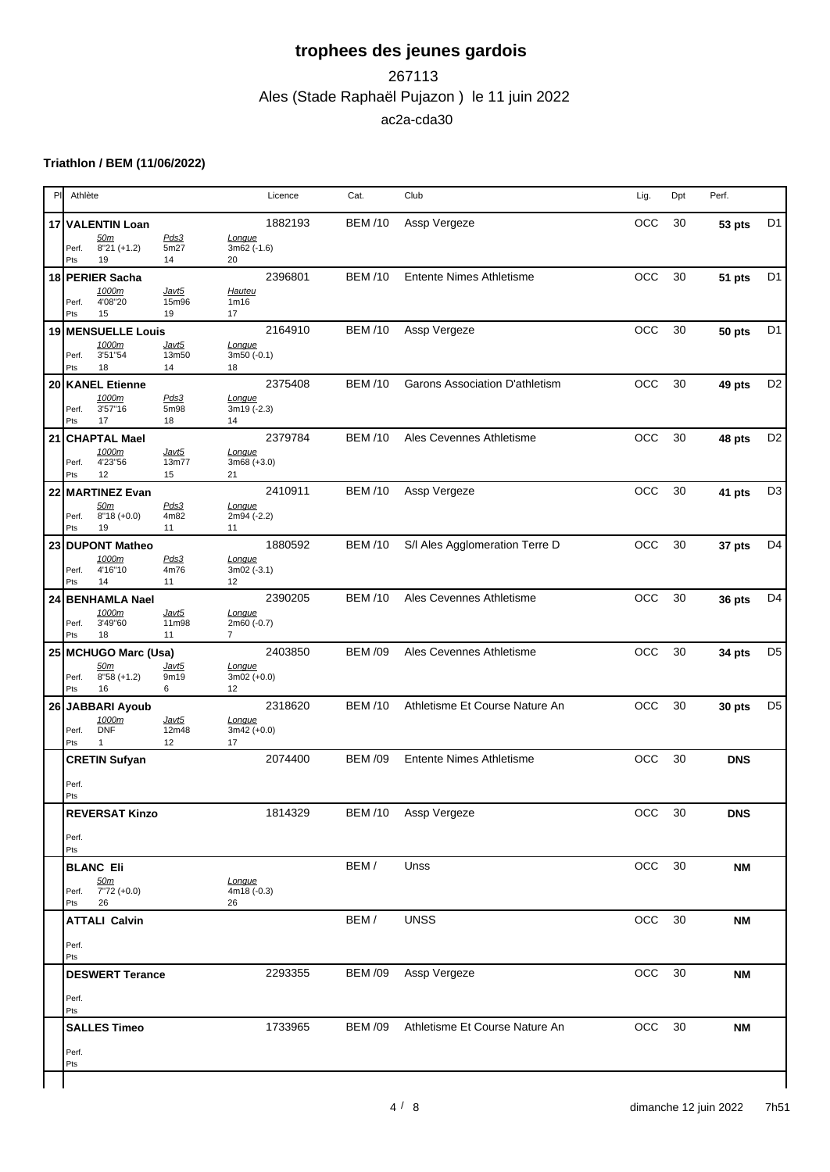## Ales (Stade Raphaël Pujazon ) le 11 juin 2022 267113 ac2a-cda30

#### **Triathlon / BEM (11/06/2022)**

| PI              | Athlète                                             |                      |                                         | Licence | Cat.           | Club                                   | Lig.       | Dpt    | Perf.      |                |
|-----------------|-----------------------------------------------------|----------------------|-----------------------------------------|---------|----------------|----------------------------------------|------------|--------|------------|----------------|
|                 | 17 VALENTIN Loan                                    |                      |                                         | 1882193 | <b>BEM/10</b>  | Assp Vergeze                           | OCC        | 30     | 53 pts     | D <sub>1</sub> |
|                 | 50m<br>$8''21 (+1.2)$<br>Perf.<br>Pts<br>19         | Pds3<br>5m27<br>14   | Longue<br>$3m62$ (-1.6)<br>20           |         |                |                                        |            |        |            |                |
|                 | 18 PERIER Sacha                                     |                      |                                         | 2396801 | <b>BEM /10</b> | <b>Entente Nimes Athletisme</b>        | OCC        | 30     | 51 pts     | D <sub>1</sub> |
|                 | 1000m<br>4'08"20<br>Perf.<br>Pts<br>15              | Javt5<br>15m96<br>19 | Hauteu<br>1m16<br>17                    |         |                |                                        |            |        |            |                |
|                 | 19 MENSUELLE Louis                                  |                      |                                         | 2164910 | <b>BEM /10</b> | Assp Vergeze                           | OCC        | 30     | 50 pts     | D <sub>1</sub> |
|                 | 1000m<br>3'51"54<br>Perf.<br>18<br>Pts              | Javt5<br>13m50<br>14 | Longue<br>$3m50(-0.1)$<br>18            |         |                |                                        |            |        |            |                |
|                 | 20 KANEL Etienne                                    |                      |                                         | 2375408 | <b>BEM/10</b>  | Garons Association D'athletism         | OCC        | 30     | 49 pts     | D <sub>2</sub> |
|                 | 1000m<br>3'57"16<br>Perf.<br>17<br>Pts              | Pds3<br>5m98<br>18   | Longue<br>3m19 (-2.3)<br>14             |         |                |                                        |            |        |            |                |
| 21              | <b>CHAPTAL Mael</b>                                 |                      |                                         | 2379784 | <b>BEM /10</b> | Ales Cevennes Athletisme               | <b>OCC</b> | 30     | 48 pts     | D <sub>2</sub> |
|                 | 1000m<br>4'23"56<br>Perf.<br>12<br>Pts              | Javt5<br>13m77<br>15 | Longue<br>$3m68 (+3.0)$<br>21           |         |                |                                        |            |        |            |                |
| 22              | <b>MARTINEZ Evan</b>                                |                      |                                         | 2410911 | <b>BEM/10</b>  | Assp Vergeze                           | OCC        | $30\,$ | 41 pts     | D <sub>3</sub> |
|                 | 50m<br>Perf.<br>$8"18 (+0.0)$<br>Pts<br>19          | Pds3<br>4m82<br>11   | Longue<br>2m94 (-2.2)<br>11             |         |                |                                        |            |        |            |                |
| 23 <sub>1</sub> | <b>DUPONT Matheo</b>                                |                      |                                         | 1880592 | <b>BEM /10</b> | S/I Ales Agglomeration Terre D         | OCC        | 30     | 37 pts     | D <sub>4</sub> |
|                 | 1000m<br>4'16"10<br>Perf.<br>Pts<br>14              | Pds3<br>4m76<br>11   | Longue<br>$3m02(-3.1)$<br>12            |         |                |                                        |            |        |            |                |
|                 | 24 BENHAMLA Nael                                    |                      |                                         | 2390205 | <b>BEM /10</b> | Ales Cevennes Athletisme               | OCC        | 30     | 36 pts     | D <sub>4</sub> |
|                 | 1000m<br>3'49"60<br>Perf.<br>18<br>Pts              | Javt5<br>11m98<br>11 | Longue<br>2m60 (-0.7)<br>$\overline{7}$ |         |                |                                        |            |        |            |                |
|                 | 25 MCHUGO Marc (Usa)                                |                      |                                         | 2403850 | <b>BEM /09</b> | Ales Cevennes Athletisme               | OCC        | 30     | 34 pts     | D <sub>5</sub> |
|                 | 50m<br>$8"58 (+1.2)$<br>Perf.<br>Pts<br>16          | Javt5<br>9m19<br>6   | Longue<br>$3m02 (+0.0)$<br>12           |         |                |                                        |            |        |            |                |
|                 | 26 JABBARI Ayoub                                    |                      |                                         | 2318620 | <b>BEM /10</b> | Athletisme Et Course Nature An         | <b>OCC</b> | 30     | 30 pts     | D <sub>5</sub> |
|                 | 1000m<br><b>DNF</b><br>Perf.<br>$\mathbf{1}$<br>Pts | Javt5<br>12m48<br>12 | Longue<br>$3m42 (+0.0)$<br>17           |         |                |                                        |            |        |            |                |
|                 | <b>CRETIN Sufyan</b>                                |                      |                                         | 2074400 | <b>BEM /09</b> | <b>Entente Nimes Athletisme</b>        | <b>OCC</b> | 30     | <b>DNS</b> |                |
|                 | Perf.<br>Pts                                        |                      |                                         |         |                |                                        |            |        |            |                |
|                 | <b>REVERSAT Kinzo</b>                               |                      |                                         | 1814329 |                | BEM /10 Assp Vergeze                   |            | OCC 30 | <b>DNS</b> |                |
|                 | Perf.<br>Pts                                        |                      |                                         |         |                |                                        |            |        |            |                |
|                 | <b>BLANC Eli</b>                                    |                      |                                         |         | BEM/           | Unss                                   |            | OCC 30 | <b>NM</b>  |                |
|                 | Perf. $\frac{50m}{7'72}$ (+0.0)<br>Pts<br>26        |                      | Longue<br>$4m18(-0.3)$<br>26            |         |                |                                        |            |        |            |                |
|                 | <b>ATTALI Calvin</b>                                |                      |                                         |         | BEM/           | <b>UNSS</b>                            |            | OCC 30 | <b>NM</b>  |                |
|                 | Perf.<br>Pts                                        |                      |                                         |         |                |                                        |            |        |            |                |
|                 | <b>DESWERT Terance</b>                              |                      |                                         | 2293355 | <b>BEM /09</b> | Assp Vergeze                           |            | OCC 30 | <b>NM</b>  |                |
|                 | Perf.<br>Pts                                        |                      |                                         |         |                |                                        |            |        |            |                |
|                 | <b>SALLES Timeo</b>                                 |                      |                                         | 1733965 |                | BEM /09 Athletisme Et Course Nature An | OCC        | 30     | <b>NM</b>  |                |
|                 | Perf.<br>Pts                                        |                      |                                         |         |                |                                        |            |        |            |                |
|                 |                                                     |                      |                                         |         |                |                                        |            |        |            |                |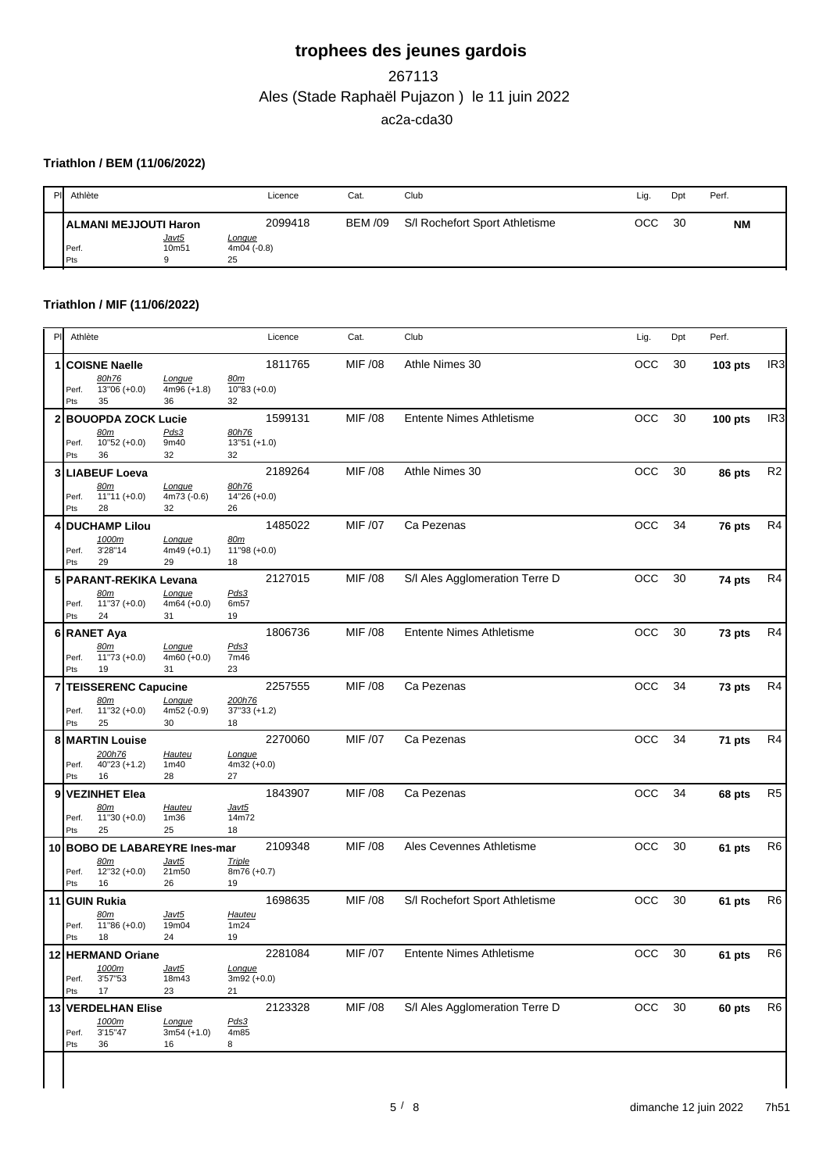## Ales (Stade Raphaël Pujazon ) le 11 juin 2022 267113 ac2a-cda30

#### **Triathlon / BEM (11/06/2022)**

| Athlète<br>PIL                                      |                     | Licence                                        | Cat.           | Club                           | Lig. | Dpt | Perf.     |
|-----------------------------------------------------|---------------------|------------------------------------------------|----------------|--------------------------------|------|-----|-----------|
| <b>ALMANI MEJJOUTI Haron</b><br>Perf.<br><b>Pts</b> | Javt5<br>10m51<br>o | 2099418<br><b>Longue</b><br>$4m04(-0.8)$<br>25 | <b>BEM /09</b> | S/I Rochefort Sport Athletisme | OCC  | 30  | <b>NM</b> |

#### **Triathlon / MIF (11/06/2022)**

| PI.          | Athlète                                                                                                               | Licence                                         | Cat.           | Club                            | Lig.       | Dpt | Perf.          |                 |
|--------------|-----------------------------------------------------------------------------------------------------------------------|-------------------------------------------------|----------------|---------------------------------|------------|-----|----------------|-----------------|
| 1            | <b>COISNE Naelle</b><br>80h76<br>Longue<br>13"06 (+0.0)<br>Perf.<br>$4m96 (+1.8)$<br>Pts<br>35<br>36                  | 1811765<br><u>80m</u><br>$10"83 (+0.0)$<br>32   | MIF /08        | Athle Nimes 30                  | OCC        | 30  | 103 pts        | IR <sub>3</sub> |
| $\mathbf{2}$ | <b>BOUOPDA ZOCK Lucie</b><br>Pds3<br>80m<br>$10"52 (+0.0)$<br>9m40<br>Perf.<br>Pts<br>36<br>32                        | 1599131<br>80h76<br>$13"51 (+1.0)$<br>32        | MIF /08        | Entente Nimes Athletisme        | OCC        | 30  | <b>100 pts</b> | IR <sub>3</sub> |
|              | 3 LIABEUF Loeva<br><u>80m</u><br>Longue<br>$11"11 (+0.0)$<br>4m73 (-0.6)<br>Perf.<br>Pts<br>28<br>32                  | 2189264<br>80h76<br>$14"26 (+0.0)$<br>26        | MIF /08        | Athle Nimes 30                  | OCC        | 30  | 86 pts         | R <sub>2</sub>  |
| 4            | <b>DUCHAMP Lilou</b><br>1000m<br>Longue<br>3'28"14<br>$4m49 (+0.1)$<br>Perf.<br>29<br>Pts<br>29                       | 1485022<br><u>80m</u><br>$11''98 (+0.0)$<br>18  | MIF /07        | Ca Pezenas                      | OCC        | 34  | 76 pts         | R4              |
|              | 5 PARANT-REKIKA Levana<br>Longue<br>80m<br>$11"37 (+0.0)$<br>$4m64 (+0.0)$<br>Perf.<br>24<br>Pts<br>31                | 2127015<br>Pds3<br>6m57<br>19                   | MIF /08        | S/I Ales Agglomeration Terre D  | <b>OCC</b> | 30  | 74 pts         | R4              |
|              | 6 RANET Aya<br>80m<br>Longue<br>$11"73 (+0.0)$<br>Perf.<br>$4m60 (+0.0)$<br>Pts<br>19<br>31                           | 1806736<br>Pds3<br>7m46<br>23                   | MIF /08        | <b>Entente Nimes Athletisme</b> | OCC        | 30  | 73 pts         | R <sub>4</sub>  |
|              | TEISSERENC Capucine<br>80m<br>Longue<br>$11"32 (+0.0)$<br>4m52 (-0.9)<br>Perf.<br>Pts<br>25<br>30                     | 2257555<br>200h76<br>$37''33 (+1.2)$<br>18      | MIF /08        | Ca Pezenas                      | OCC        | 34  | 73 pts         | R <sub>4</sub>  |
|              | 8 MARTIN Louise<br>200h76<br>Hauteu<br>40"23 (+1.2)<br>1m40<br>Perf.<br>Pts<br>16<br>28                               | 2270060<br>Longue<br>$4m32 (+0.0)$<br>27        | MIF /07        | Ca Pezenas                      | <b>OCC</b> | 34  | 71 pts         | R <sub>4</sub>  |
| 9            | <b>VEZINHET Elea</b><br><u>80m</u><br><b>Hauteu</b><br>$11"30 (+0.0)$<br>1 <sub>m36</sub><br>Perf.<br>25<br>Pts<br>25 | 1843907<br><u>Javt5</u><br>14m72<br>18          | MIF /08        | Ca Pezenas                      | <b>OCC</b> | 34  | 68 pts         | R <sub>5</sub>  |
|              | 10 BOBO DE LABAREYRE Ines-mar<br>Javt5<br><u>80m</u><br>$12"32 (+0.0)$<br>Perf.<br>21m50<br>Pts<br>16<br>26           | 2109348<br><b>Triple</b><br>8m76 (+0.7)<br>19   | MIF /08        | Ales Cevennes Athletisme        | <b>OCC</b> | 30  | 61 pts         | R6              |
|              | 11 GUIN Rukia<br>80m<br><u>Javt5</u><br>$11"86 (+0.0)$<br>19m04<br>Perf.<br>Pts<br>24<br>18                           | 1698635<br><b>Hauteu</b><br>1m24<br>19          | MIF /08        | S/I Rochefort Sport Athletisme  | OCC        | 30  | 61 pts         | R <sub>6</sub>  |
|              | 12 HERMAND Oriane<br>1000m<br><u>Javt5</u><br>3'57"53<br>18m43<br>Perf.<br>Pts<br>17<br>23                            | 2281084<br><b>Longue</b><br>$3m92 (+0.0)$<br>21 | <b>MIF /07</b> | Entente Nimes Athletisme        | OCC 30     |     | 61 pts         | R <sub>6</sub>  |
|              | 13 VERDELHAN Elise<br>1000m<br>Longue<br>3'15"47<br>Perf.<br>$3m54 (+1.0)$<br>Pts<br>36<br>16                         | 2123328<br>Pds3<br>4m85<br>8                    | MIF /08        | S/I Ales Agglomeration Terre D  | OCC        | 30  | 60 pts         | R <sub>6</sub>  |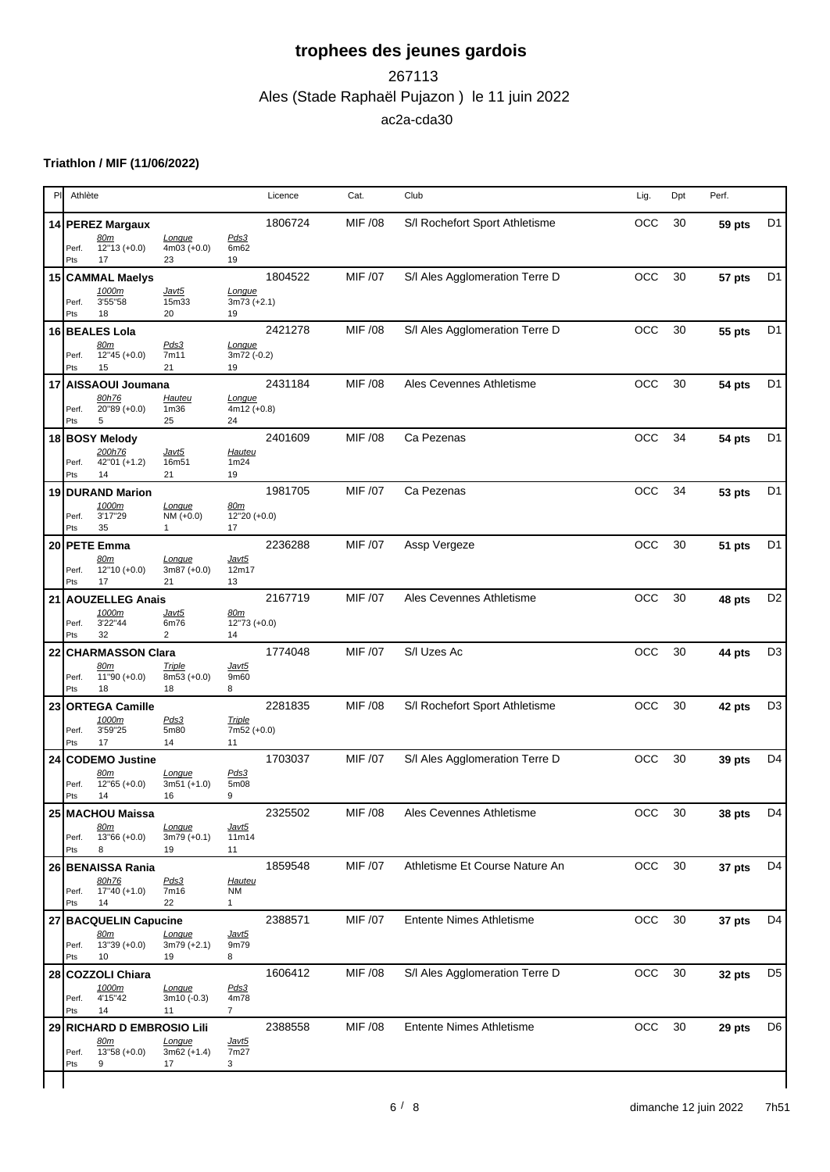### Ales (Stade Raphaël Pujazon ) le 11 juin 2022 267113 ac2a-cda30

### **Triathlon / MIF (11/06/2022)**

| PI | Athlète                                                                                                                                              |                                    | Licence | Cat.           | Club                            | Lig.       | Dpt | Perf.  |                |
|----|------------------------------------------------------------------------------------------------------------------------------------------------------|------------------------------------|---------|----------------|---------------------------------|------------|-----|--------|----------------|
|    | 14 PEREZ Margaux                                                                                                                                     |                                    | 1806724 | MIF /08        | S/I Rochefort Sport Athletisme  | OCC        | 30  | 59 pts | D <sub>1</sub> |
|    | 80m<br>Longue<br>$12"13 (+0.0)$<br>$4m03 (+0.0)$<br>Perf.<br>17<br>Pts<br>23                                                                         | Pds3<br>6m62<br>19                 |         |                |                                 |            |     |        |                |
|    | 15 CAMMAL Maelys                                                                                                                                     |                                    | 1804522 | MIF /07        | S/I Ales Agglomeration Terre D  | OCC        | 30  | 57 pts | D <sub>1</sub> |
|    | 1000m<br><u>Javt5</u><br>3'55"58<br>15m33<br>Perf.<br>18<br>20<br>Pts                                                                                | Longue<br>$3m73 (+2.1)$<br>19      |         |                |                                 |            |     |        |                |
|    | 16 BEALES Lola<br>80m<br><u>Pds3</u><br>$12"45 (+0.0)$<br>7m11<br>Perf.<br>15<br>21<br>Pts                                                           | Longue<br>3m72 (-0.2)<br>19        | 2421278 | MIF /08        | S/I Ales Agglomeration Terre D  | OCC        | 30  | 55 pts | D <sub>1</sub> |
|    | 17 AISSAOUI Joumana<br>80h76<br><b>Hauteu</b><br>20"89 (+0.0)<br>1 <sub>m36</sub><br>Perf.<br>25<br>Pts<br>5                                         | Longue<br>$4m12 (+0.8)$<br>24      | 2431184 | MIF /08        | Ales Cevennes Athletisme        | <b>OCC</b> | 30  | 54 pts | D <sub>1</sub> |
|    | 18 BOSY Melody<br>200h76<br><u>Javt5</u><br>42"01 (+1.2)<br>16m51<br>Perf.<br>14<br>21<br>Pts                                                        | <b>Hauteu</b><br>1m24<br>19        | 2401609 | <b>MIF /08</b> | Ca Pezenas                      | OCC        | 34  | 54 pts | D <sub>1</sub> |
|    | 19 DURAND Marion<br>1000m<br>Longue<br>3'17"29<br>$NM (+0.0)$<br>Perf.<br>35<br>Pts<br>$\mathbf{1}$                                                  | 80m<br>12"20 (+0.0)<br>17          | 1981705 | MIF /07        | Ca Pezenas                      | OCC        | 34  | 53 pts | D <sub>1</sub> |
|    | 20 PETE Emma<br>80m<br>Longue<br>$12"10 (+0.0)$<br>$3m87 (+0.0)$<br>Perf.<br>17<br>21<br>Pts                                                         | <u>Javt5</u><br>12m17<br>13        | 2236288 | MIF /07        | Assp Vergeze                    | OCC        | 30  | 51 pts | D <sub>1</sub> |
| 21 | AOUZELLEG Anais<br>1000m<br><u>Javt5</u><br>3'22"44<br>6m76<br>Perf.                                                                                 | <u>80m</u><br>$12"73 (+0.0)$       | 2167719 | MIF /07        | Ales Cevennes Athletisme        | OCC        | 30  | 48 pts | D <sub>2</sub> |
| 22 | $\overline{c}$<br>32<br>Pts<br><b>CHARMASSON Clara</b><br><u>80m</u><br><b>Triple</b><br>$11"90 (+0.0)$<br>$8m53 (+0.0)$<br>Perf.<br>18<br>Pts<br>18 | 14<br><u>Javt5</u><br>9m60<br>8    | 1774048 | MIF /07        | S/I Uzes Ac                     | OCC        | 30  | 44 pts | D <sub>3</sub> |
| 23 | <b>ORTEGA Camille</b><br>1000m<br>Pds3<br>3'59"25<br>5m80<br>Perf.<br>17<br>Pts<br>14                                                                | <b>Triple</b><br>7m52 (+0.0)<br>11 | 2281835 | MIF /08        | S/I Rochefort Sport Athletisme  | OCC        | 30  | 42 pts | D <sub>3</sub> |
| 24 | <b>CODEMO Justine</b><br>80m<br>Longue<br>$12"65 (+0.0)$<br>$3m51 (+1.0)$<br>Perf.<br>Pts<br>14<br>16                                                | Pds3<br>5m08<br>9                  | 1703037 | MIF /07        | S/I Ales Agglomeration Terre D  | <b>OCC</b> | 30  | 39 pts | D <sub>4</sub> |
|    | 25 MACHOU Maissa<br><u>80m</u><br><b>Longue</b><br>13"66 (+0.0)<br>$3m79 (+0.1)$<br>Perf.<br>Pts<br>8<br>19                                          | <u>Javt5</u><br>11m14<br>11        | 2325502 | MIF /08        | Ales Cevennes Athletisme        | OCC 30     |     | 38 pts | D <sub>4</sub> |
|    | 26 BENAISSA Rania<br>80h76<br>Pds3<br>17"40 (+1.0)<br>Perf.<br>7m16<br>Pts<br>22<br>14                                                               | <b>Hauteu</b><br>ΝM<br>1           | 1859548 | MIF /07        | Athletisme Et Course Nature An  | OCC        | 30  | 37 pts | D4             |
|    | 27 BACQUELIN Capucine<br>80m<br>Longue<br>$13"39 (+0.0)$<br>$3m79 (+2.1)$<br>Perf.<br>10<br>19<br>Pts                                                | <u>Javt5</u><br>9m79<br>8          | 2388571 | MIF /07        | <b>Entente Nimes Athletisme</b> | OCC        | 30  | 37 pts | D4             |
|    | 28 COZZOLI Chiara<br>1000m<br>Longue<br>4'15"42<br>3m10 (-0.3)<br>Perf.<br>14<br>Pts<br>11                                                           | Pds3<br>4m78<br>$\overline{7}$     | 1606412 | MIF /08        | S/I Ales Agglomeration Terre D  | OCC        | 30  | 32 pts | D <sub>5</sub> |
|    | 29 RICHARD D EMBROSIO Lili<br>Longue<br><u>80m</u><br>$13"58 (+0.0)$<br>$3m62 (+1.4)$<br>Perf.<br>Pts<br>9<br>17                                     | <u>Javt5</u><br>7m27<br>3          | 2388558 | <b>MIF /08</b> | <b>Entente Nimes Athletisme</b> | OCC        | 30  | 29 pts | D6             |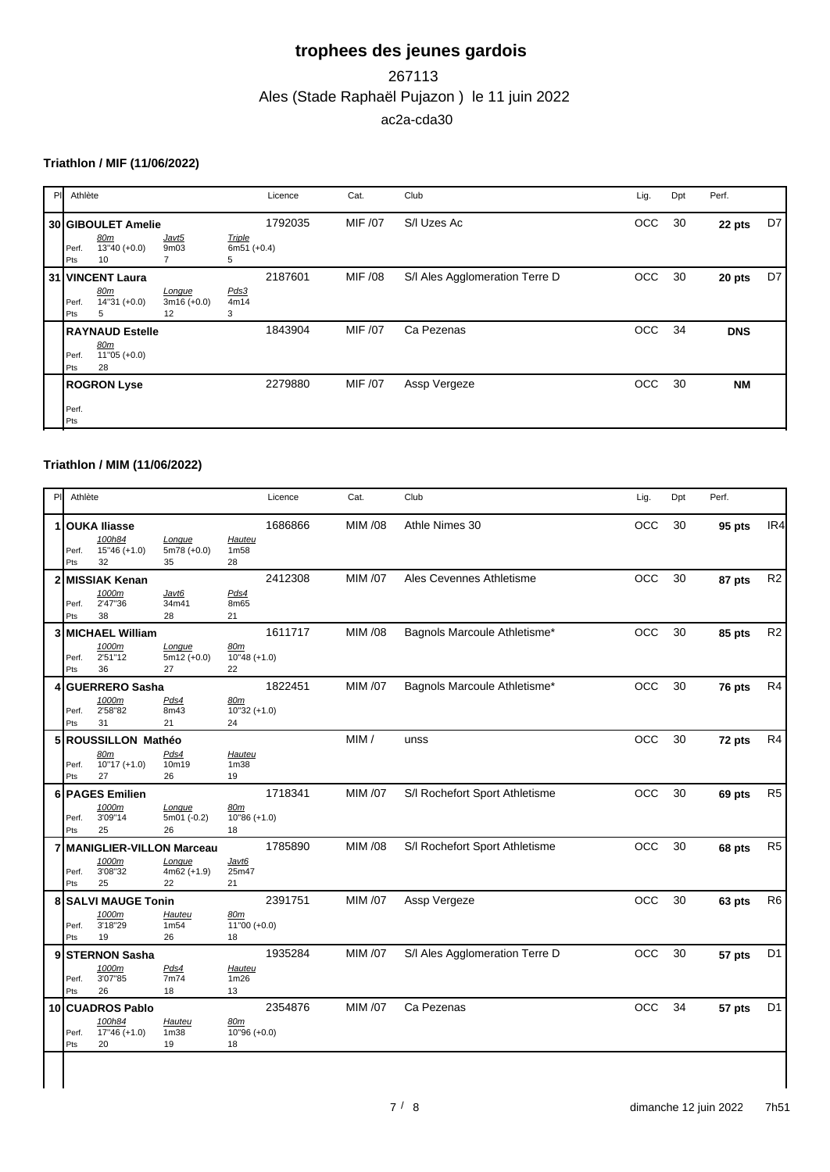## Ales (Stade Raphaël Pujazon ) le 11 juin 2022 267113 ac2a-cda30

#### **Triathlon / MIF (11/06/2022)**

| PI | Athlète      |                                                       |                               |                                     | Licence | Cat.    | Club                           | Lig. | Dpt | Perf.      |    |
|----|--------------|-------------------------------------------------------|-------------------------------|-------------------------------------|---------|---------|--------------------------------|------|-----|------------|----|
|    | Perf.<br>Pts | 30 GIBOULET Amelie<br>80m<br>$13"40 (+0.0)$<br>10     | Javt5<br>9m <sub>03</sub>     | <b>Triple</b><br>$6m51 (+0.4)$<br>5 | 1792035 | MIF /07 | S/I Uzes Ac                    | OCC  | 30  | 22 pts     | D7 |
|    | Perf.<br>Pts | 31 VINCENT Laura<br><u>80m</u><br>$14"31 (+0.0)$<br>5 | Longue<br>$3m16 (+0.0)$<br>12 | Pds3<br>4m14<br>3                   | 2187601 | MIF /08 | S/I Ales Agglomeration Terre D | OCC  | 30  | 20 pts     | D7 |
|    | Perf.<br>Pts | <b>RAYNAUD Estelle</b><br>80m<br>$11"05 (+0.0)$<br>28 |                               |                                     | 1843904 | MIF /07 | Ca Pezenas                     | OCC  | 34  | <b>DNS</b> |    |
|    | Perf.<br>Pts | <b>ROGRON Lyse</b>                                    |                               |                                     | 2279880 | MIF /07 | Assp Vergeze                   | OCC  | 30  | <b>NM</b>  |    |

#### **Triathlon / MIM (11/06/2022)**

| PI. | Athlète      |                                                       |                                         |                                         | Licence | Cat.    | Club                           | Lig.       | Dpt | Perf.  |                |
|-----|--------------|-------------------------------------------------------|-----------------------------------------|-----------------------------------------|---------|---------|--------------------------------|------------|-----|--------|----------------|
| 1   | Perf.<br>Pts | <b>OUKA Iliasse</b><br>100h84<br>$15"46 (+1.0)$<br>32 | Lonque<br>$5m78 (+0.0)$<br>35           | <b>Hauteu</b><br>1 <sub>m58</sub><br>28 | 1686866 | MIM /08 | Athle Nimes 30                 | OCC        | 30  | 95 pts | IR4            |
|     | Perf.<br>Pts | 2 MISSIAK Kenan<br>1000m<br>2'47"36<br>38             | Javt6<br>34m41<br>28                    | Pds4<br>8m65<br>21                      | 2412308 | MIM /07 | Ales Cevennes Athletisme       | OCC        | 30  | 87 pts | R <sub>2</sub> |
|     | Perf.<br>Pts | 3 MICHAEL William<br>1000m<br>2'51"12<br>36           | Longue<br>$5m12 (+0.0)$<br>27           | 80m<br>$10"48 (+1.0)$<br>22             | 1611717 | MIM /08 | Bagnols Marcoule Athletisme*   | OCC        | 30  | 85 pts | R <sub>2</sub> |
| 4   | Perf.<br>Pts | <b>GUERRERO Sasha</b><br>1000m<br>2'58"82<br>31       | Pds4<br>8m43<br>21                      | 80m<br>$10''32 (+1.0)$<br>24            | 1822451 | MIM /07 | Bagnols Marcoule Athletisme*   | OCC        | 30  | 76 pts | R <sub>4</sub> |
|     | Perf.<br>Pts | 5 ROUSSILLON Mathéo<br>80m<br>$10"17 (+1.0)$<br>27    | Pds4<br>10m19<br>26                     | Hauteu<br>1 <sub>m38</sub><br>19        |         | MIM/    | unss                           | OCC        | 30  | 72 pts | R <sub>4</sub> |
|     | Perf.<br>Pts | 6 PAGES Emilien<br>1000m<br>3'09"14<br>25             | Lonque<br>5m01 (-0.2)<br>26             | 80m<br>$10"86 (+1.0)$<br>18             | 1718341 | MIM /07 | S/I Rochefort Sport Athletisme | OCC        | 30  | 69 pts | R <sub>5</sub> |
|     | Perf.<br>Pts | 7 MANIGLIER-VILLON Marceau<br>1000m<br>3'08"32<br>25  | Longue<br>$4m62 (+1.9)$<br>22           | Javt6<br>25m47<br>21                    | 1785890 | MIM /08 | S/I Rochefort Sport Athletisme | OCC        | 30  | 68 pts | R <sub>5</sub> |
|     | Perf.<br>Pts | 8 SALVI MAUGE Tonin<br>1000m<br>3'18"29<br>19         | Hauteu<br>1m <sub>54</sub><br>26        | 80m<br>$11"00 (+0.0)$<br>18             | 2391751 | MIM /07 | Assp Vergeze                   | OCC        | 30  | 63 pts | R <sub>6</sub> |
| 9   | Perf.<br>Pts | <b>STERNON Sasha</b><br>1000m<br>3'07"85<br>26        | Pds4<br>7m74<br>18                      | Hauteu<br>1m26<br>13                    | 1935284 | MIM /07 | S/I Ales Agglomeration Terre D | <b>OCC</b> | 30  | 57 pts | D <sub>1</sub> |
|     | Perf.<br>Pts | 10 CUADROS Pablo<br>100h84<br>$17"46 (+1.0)$<br>20    | <b>Hauteu</b><br>1 <sub>m38</sub><br>19 | 80m<br>$10''96 (+0.0)$<br>18            | 2354876 | MIM /07 | Ca Pezenas                     | <b>OCC</b> | 34  | 57 pts | D <sub>1</sub> |